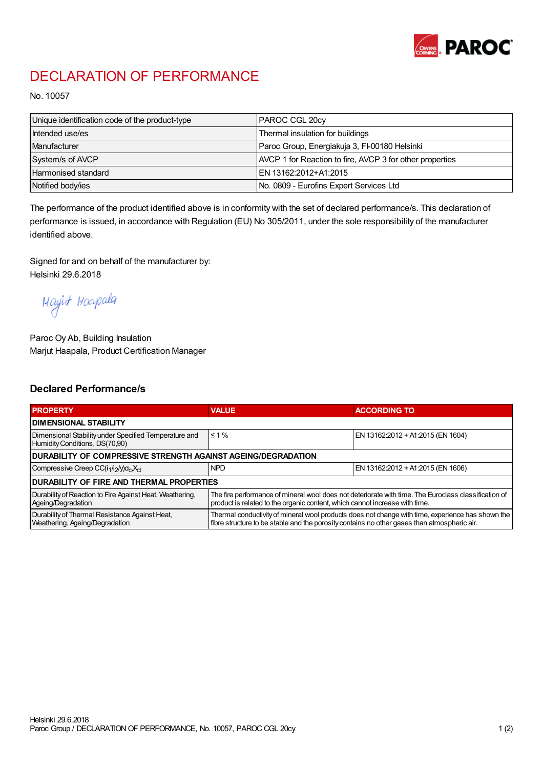

## DECLARATION OF PERFORMANCE

No. 10057

| Unique identification code of the product-type | <b>IPAROC CGL 20cv</b>                                   |
|------------------------------------------------|----------------------------------------------------------|
| Intended use/es                                | Thermal insulation for buildings                         |
| Manufacturer                                   | Paroc Group, Energiakuja 3, FI-00180 Helsinki            |
| System/s of AVCP                               | AVCP 1 for Reaction to fire, AVCP 3 for other properties |
| Harmonised standard                            | IEN 13162:2012+A1:2015                                   |
| Notified body/ies                              | No. 0809 - Eurofins Expert Services Ltd                  |

The performance of the product identified above is in conformity with the set of declared performance/s. This declaration of performance is issued, in accordance with Regulation (EU) No 305/2011, under the sole responsibility of the manufacturer identified above.

Signed for and on behalf of the manufacturer by: Helsinki 29.6.2018

Mayint Hoapala

Paroc Oy Ab, Building Insulation Marjut Haapala, Product Certification Manager

## Declared Performance/s

| <b>PROPERTY</b>                                                                         | <b>VALUE</b>                                                                                                                                                                                     | <b>ACCORDING TO</b>               |  |  |
|-----------------------------------------------------------------------------------------|--------------------------------------------------------------------------------------------------------------------------------------------------------------------------------------------------|-----------------------------------|--|--|
| <b>I DIMENSIONAL STABILITY</b>                                                          |                                                                                                                                                                                                  |                                   |  |  |
| Dimensional Stability under Specified Temperature and<br>Humidity Conditions, DS(70,90) | $\leq 1\%$                                                                                                                                                                                       | EN 13162:2012 + A1:2015 (EN 1604) |  |  |
| <b>DURABILITY OF COMPRESSIVE STRENGTH AGAINST AGEING/DEGRADATION</b>                    |                                                                                                                                                                                                  |                                   |  |  |
| Compressive Creep CC(i <sub>1</sub> /i <sub>2</sub> /y) $\sigma_c X_{ct}$               | <b>NPD</b>                                                                                                                                                                                       | EN 13162:2012 + A1:2015 (EN 1606) |  |  |
| IDURABILITY OF FIRE AND THERMAL PROPERTIES                                              |                                                                                                                                                                                                  |                                   |  |  |
| Durability of Reaction to Fire Against Heat, Weathering,<br>Ageing/Degradation          | The fire performance of mineral wool does not deteriorate with time. The Euroclass classification of<br>product is related to the organic content, which cannot increase with time.              |                                   |  |  |
| Durability of Thermal Resistance Against Heat,<br>Weathering, Ageing/Degradation        | Thermal conductivity of mineral wool products does not change with time, experience has shown the<br>fibre structure to be stable and the porosity contains no other gases than atmospheric air. |                                   |  |  |